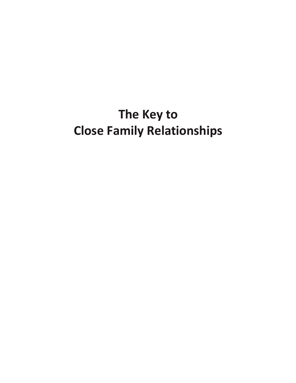# **The Key to Close Family Relationships**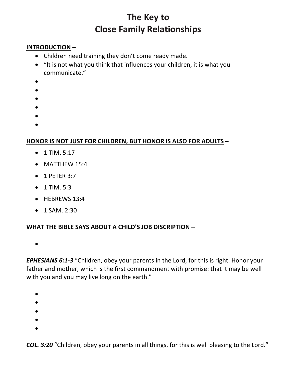# **The Key to Close Family Relationships**

#### **INTRODUCTION –**

- Children need training they don't come ready made.
- "It is not what you think that influences your children, it is what you communicate."
- •
- •
- •
- •
- 
- •
- •

# **HONOR IS NOT JUST FOR CHILDREN, BUT HONOR IS ALSO FOR ADULTS –**

- $\bullet$  1 TIM. 5:17
- MATTHEW 15:4
- 1 PETER 3:7
- $1$  TIM. 5:3
- HEBREWS 13:4
- 1 SAM. 2:30

# **WHAT THE BIBLE SAYS ABOUT A CHILD'S JOB DISCRIPTION –**

•

*EPHESIANS 6:1-3* "Children, obey your parents in the Lord, for this is right. Honor your father and mother, which is the first commandment with promise: that it may be well with you and you may live long on the earth."

- •
- •
- •
- •
- 
- •

*COL. 3:20* "Children, obey your parents in all things, for this is well pleasing to the Lord."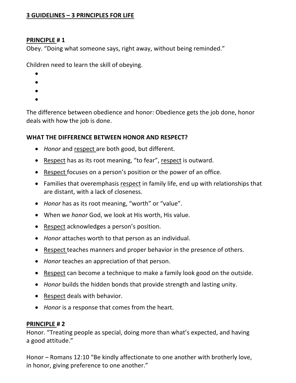# **3 GUIDELINES – 3 PRINCIPLES FOR LIFE**

#### **PRINCIPLE # 1**

Obey. "Doing what someone says, right away, without being reminded."

Children need to learn the skill of obeying.

- •
- •
- •
- •

The difference between obedience and honor: Obedience gets the job done, honor deals with how the job is done.

#### **WHAT THE DIFFERENCE BETWEEN HONOR AND RESPECT?**

- *Honor* and respect are both good, but different.
- Respect has as its root meaning, "to fear", respect is outward.
- Respect focuses on a person's position or the power of an office.
- Families that overemphasis respect in family life, end up with relationships that are distant, with a lack of closeness.
- *Honor* has as its root meaning, "worth" or "value".
- When we *honor* God, we look at His worth, His value.
- Respect acknowledges a person's position.
- *Honor* attaches worth to that person as an individual.
- Respect teaches manners and proper behavior in the presence of others.
- *Honor* teaches an appreciation of that person.
- Respect can become a technique to make a family look good on the outside.
- *Honor* builds the hidden bonds that provide strength and lasting unity.
- Respect deals with behavior.
- *Honor* is a response that comes from the heart.

#### **PRINCIPLE # 2**

Honor. "Treating people as special, doing more than what's expected, and having a good attitude."

Honor – Romans 12:10 "Be kindly affectionate to one another with brotherly love, in honor, giving preference to one another."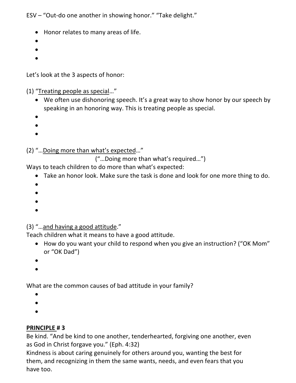ESV – "Out-do one another in showing honor." "Take delight."

- Honor relates to many areas of life.
- •
- •
- •

Let's look at the 3 aspects of honor:

(1) "Treating people as special…"

- We often use dishonoring speech. It's a great way to show honor by our speech by speaking in an honoring way. This is treating people as special.
- •
- •
- •
- 

(2) "…Doing more than what's expected…"

("…Doing more than what's required…")

Ways to teach children to do more than what's expected:

- Take an honor look. Make sure the task is done and look for one more thing to do.
- •
- •
- •
- •

# (3) "…and having a good attitude."

Teach children what it means to have a good attitude.

- How do you want your child to respond when you give an instruction? ("OK Mom" or "OK Dad")
- •
- •

What are the common causes of bad attitude in your family?

- •
- •
- •

# **PRINCIPLE # 3**

Be kind. "And be kind to one another, tenderhearted, forgiving one another, even as God in Christ forgave you." (Eph. 4:32)

Kindness is about caring genuinely for others around you, wanting the best for them, and recognizing in them the same wants, needs, and even fears that you have too.